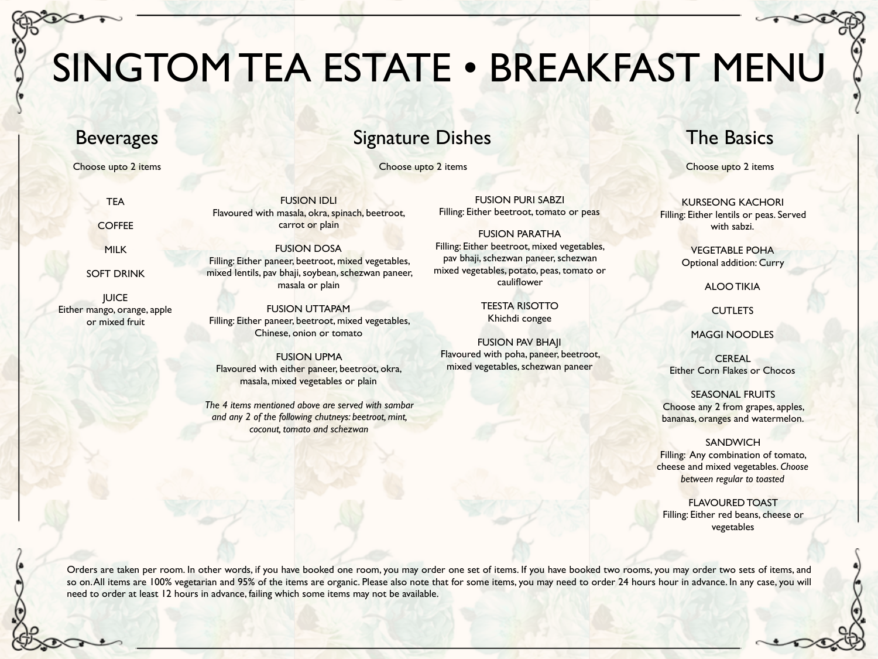# SINGTOM TEA ESTATE • BREAKFAST MENU

## Beverages

TEA

**COFFEE** 

MILK

SOFT DRINK

**JUICE** Either mango, orange, apple or mixed fruit

FUSION IDLI Flavoured with masala, okra, spinach, beetroot, carrot or plain

> FUSION DOSA Filling: Either paneer, beetroot, mixed vegetables, mixed lentils, pav bhaji, soybean, schezwan paneer, masala or plain

FUSION UTTAPAM Filling: Either paneer, beetroot, mixed vegetables, Chinese, onion or tomato

FUSION UPMA Flavoured with either paneer, beetroot, okra, masala, mixed vegetables or plain

*The 4 items mentioned above are served with sambar and any 2 of the following chutneys: beetroot, mint, coconut, tomato and schezwan*

## Signature Dishes

Choose upto 2 items Choose upto 2 items

FUSION PURI SABZI Filling: Either beetroot, tomato or peas

FUSION PARATHA Filling: Either beetroot, mixed vegetables, pav bhaji, schezwan paneer, schezwan mixed vegetables, potato, peas, tomato or cauliflower

> TEESTA RISOTTO Khichdi congee

FUSION PAV BHAJI Flavoured with poha, paneer, beetroot, mixed vegetables, schezwan paneer

> SEASONAL FRUITS Choose any 2 from grapes, apples, bananas, oranges and watermelon.

**SANDWICH** Filling: Any combination of tomato, cheese and mixed vegetables. *Choose between regular to toasted*

FLAVOURED TOAST Filling: Either red beans, cheese or vegetables

Orders are taken per room. In other words, if you have booked one room, you may order one set of items. If you have booked two rooms, you may order two sets of items, and so on. All items are 100% vegetarian and 95% of the items are organic. Please also note that for some items, you may need to order 24 hours hour in advance. In any case, you will need to order at least 12 hours in advance, failing which some items may not be available.

## The Basics

Choose upto 2 items

KURSEONG KACHORI Filling: Either lentils or peas. Served with sabzi.

> VEGETABLE POHA Optional addition: Curry

> > ALOO TIKIA

**CUTLETS** 

MAGGI NOODLES

CEREAL Either Corn Flakes or Chocos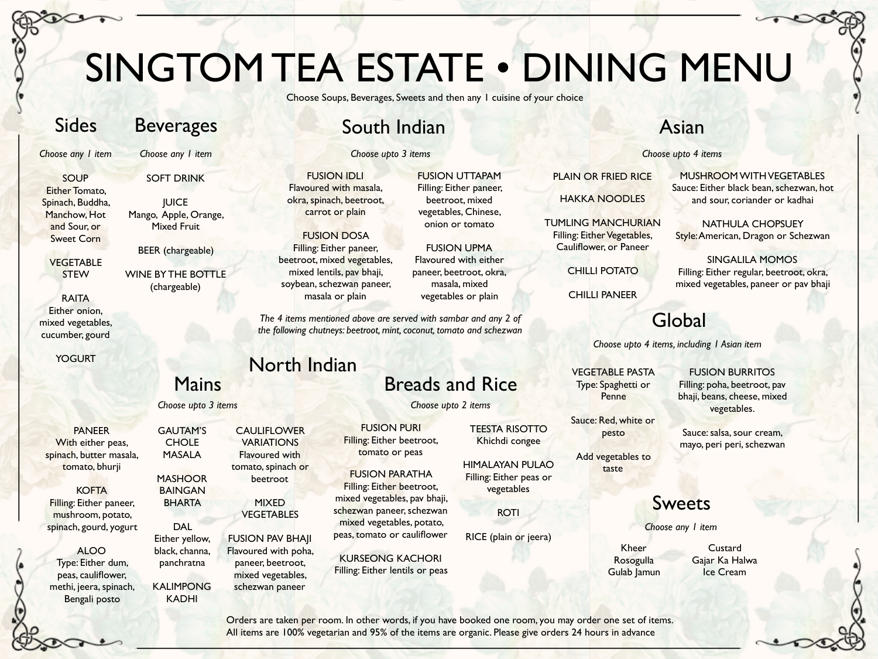# SINGTOM TEA ESTATE • DINING MENU

Choose Soups, Beverages, Sweets and then any 1 cuisine of your choice

FUSION UTTAPAM Filling: Either paneer, beetroot, mixed vegetables, Chinese, onion or tomato

FUSION UPMA Flavoured with either paneer, beetroot, okra, masala, mixed vegetables or plain

## Sides

## Beverages

*Choose any 1 item*

SOUP Either Tomato, Spinach, Buddha, Manchow, Hot and Sour, or Sweet Corn

> **VEGETABLE STEW**

RAITA Either onion, mixed vegetables, cucumber, gourd

YOGURT

### PANEER With either peas, spinach, butter masala, tomato, bhurji

**KOFTA** 

Filling: Either paneer, mushroom, potato, spinach, gourd, yogurt

### ALOO Type: Either dum, peas, cauliflower, methi, jeera, spinach, Bengali posto

*Choose any 1 item*

SOFT DRINK

**IUICE** Mango, Apple, Orange, Mixed Fruit

BEER (chargeable)

WINE BY THE BOTTLE (chargeable)

## Mains

GAUTAM'S **CHOLE** MASALA

**MASHOOR** BAINGAN BHARTA

DAL Either yellow, black, channa, panchratna

KALIMPONG KADHI

*Choose upto 3 items*

**CAULIFLOWER VARIATIONS** Flavoured with tomato, spinach or

> MIXED VEGETABLES

beetroot

FUSION PAV BHAJI Flavoured with poha, paneer, beetroot, mixed vegetables, schezwan paneer

## South Indian

*Choose upto 3 items*

FUSION IDLI Flavoured with masala, okra, spinach, beetroot, carrot or plain

FUSION DOSA

Filling: Either paneer, beetroot, mixed vegetables, mixed lentils, pav bhaji, soybean, schezwan paneer, masala or plain

*The 4 items mentioned above are served with sambar and any 2 of the following chutneys: beetroot, mint, coconut, tomato and schezwan*

## North Indian Breads and Rice

*Choose upto 2 items*

FUSION PURI Filling: Either beetroot, tomato or peas

FUSION PARATHA Filling: Either beetroot,

mixed vegetables, pav bhaji, schezwan paneer, schezwan mixed vegetables, potato, peas, tomato or cauliflower

KURSEONG KACHORI Filling: Either lentils or peas TEESTA RISOTTO Khichdi congee

HIMALAYAN PULAO Filling: Either peas or vegetables

ROTI

RICE (plain or jeera)

Kheer Rosogulla

## Asian

*Choose upto 4 items*

MUSHROOM WITH VEGETABLES Sauce: Either black bean, schezwan, hot and sour, coriander or kadhai

NATHULA CHOPSUEY Style: American, Dragon or Schezwan

SINGALILA MOMOS Filling: Either regular, beetroot, okra, mixed vegetables, paneer or pav bhaji

## Global

*Choose upto 4 items, including 1 Asian item*

VEGETABLE PASTA Type: Spaghetti or Penne

PLAIN OR FRIED RICE

HAKKA NOODLES

TUMLING MANCHURIAN Filling: Either Vegetables, Cauliflower, or Paneer

CHILLI POTATO

CHILLI PANEER

FUSION BURRITOS Filling: poha, beetroot, pav bhaji, beans, cheese, mixed vegetables.

Sauce: salsa, sour cream, mayo, peri peri, schezwan

Sauce: Red, white or pesto

Add vegetables to taste

## Sweets

*Choose any 1 item*

Gulab Jamun

**Custard** Gajar Ka Halwa Ice Cream

Orders are taken per room. In other words, if you have booked one room, you may order one set of items. All items are 100% vegetarian and 95% of the items are organic. Please give orders 24 hours in advance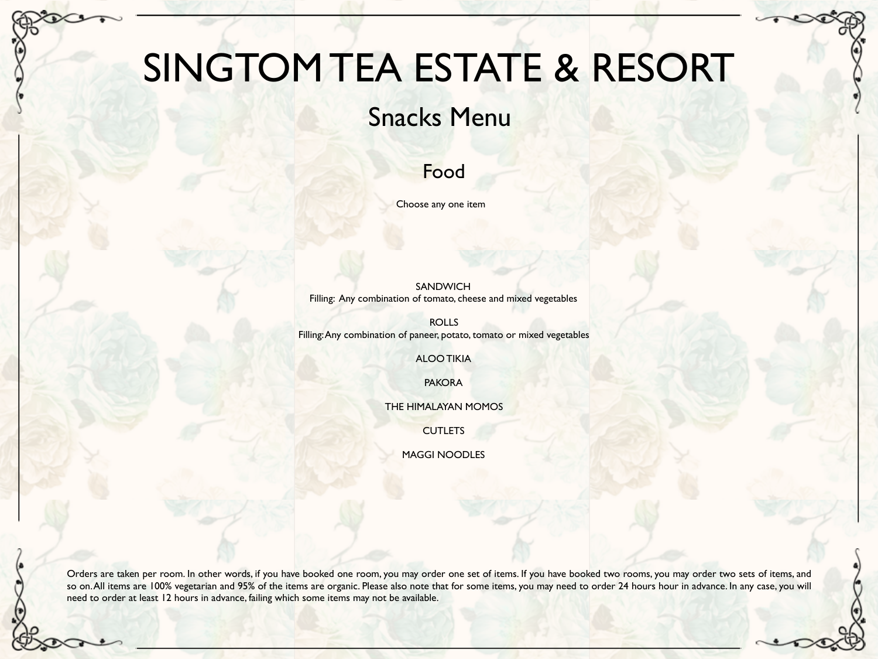# SINGTOM TEA ESTATE & RESORT

## Snacks Menu

## Food

Choose any one item

SANDWICH Filling: Any combination of tomato, cheese and mixed vegetables

ROLLS Filling: Any combination of paneer, potato, tomato or mixed vegetables

ALOO TIKIA

PAKORA

THE HIMALAYAN MOMOS

**CUTLETS** 

MAGGI NOODLES

Orders are taken per room. In other words, if you have booked one room, you may order one set of items. If you have booked two rooms, you may order two sets of items, and so on. All items are 100% vegetarian and 95% of the items are organic. Please also note that for some items, you may need to order 24 hours hour in advance. In any case, you will need to order at least 12 hours in advance, failing which some items may not be available.